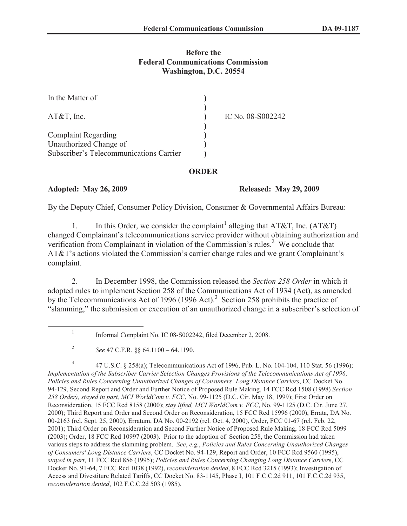## **Before the Federal Communications Commission Washington, D.C. 20554**

| In the Matter of                        |                   |
|-----------------------------------------|-------------------|
| $AT&T$ , Inc.                           | IC No. 08-S002242 |
|                                         |                   |
| <b>Complaint Regarding</b>              |                   |
| Unauthorized Change of                  |                   |
| Subscriber's Telecommunications Carrier |                   |

## **ORDER**

**Adopted: May 26, 2009 Released: May 29, 2009**

By the Deputy Chief, Consumer Policy Division, Consumer & Governmental Affairs Bureau:

1. In this Order, we consider the complaint<sup>1</sup> alleging that AT&T, Inc. (AT&T) changed Complainant's telecommunications service provider without obtaining authorization and verification from Complainant in violation of the Commission's rules.<sup>2</sup> We conclude that AT&T's actions violated the Commission's carrier change rules and we grant Complainant's complaint.

2. In December 1998, the Commission released the *Section 258 Order* in which it adopted rules to implement Section 258 of the Communications Act of 1934 (Act), as amended by the Telecommunications Act of 1996 (1996 Act).<sup>3</sup> Section 258 prohibits the practice of "slamming," the submission or execution of an unauthorized change in a subscriber's selection of

3 47 U.S.C. § 258(a); Telecommunications Act of 1996, Pub. L. No. 104-104, 110 Stat. 56 (1996); *Implementation of the Subscriber Carrier Selection Changes Provisions of the Telecommunications Act of 1996; Policies and Rules Concerning Unauthorized Changes of Consumers' Long Distance Carriers*, CC Docket No. 94-129, Second Report and Order and Further Notice of Proposed Rule Making, 14 FCC Rcd 1508 (1998) *Section 258 Order), stayed in part, MCI WorldCom v. FCC*, No. 99-1125 (D.C. Cir. May 18, 1999); First Order on Reconsideration, 15 FCC Rcd 8158 (2000); *stay lifted, MCI WorldCom v. FCC*, No. 99-1125 (D.C. Cir. June 27, 2000); Third Report and Order and Second Order on Reconsideration, 15 FCC Rcd 15996 (2000), Errata, DA No. 00-2163 (rel. Sept. 25, 2000), Erratum, DA No. 00-2192 (rel. Oct. 4, 2000), Order, FCC 01-67 (rel. Feb. 22, 2001); Third Order on Reconsideration and Second Further Notice of Proposed Rule Making, 18 FCC Rcd 5099 (2003); Order, 18 FCC Rcd 10997 (2003). Prior to the adoption of Section 258, the Commission had taken various steps to address the slamming problem. *See*, *e.g.*, *Policies and Rules Concerning Unauthorized Changes of Consumers' Long Distance Carriers*, CC Docket No. 94-129, Report and Order, 10 FCC Rcd 9560 (1995), *stayed in part*, 11 FCC Rcd 856 (1995); *Policies and Rules Concerning Changing Long Distance Carrier*s, CC Docket No. 91-64, 7 FCC Rcd 1038 (1992), *reconsideration denied*, 8 FCC Rcd 3215 (1993); Investigation of Access and Divestiture Related Tariffs, CC Docket No. 83-1145, Phase I, 101 F.C.C.2d 911, 101 F.C.C.2d 935, *reconsideration denied*, 102 F.C.C.2d 503 (1985).

<sup>1</sup> Informal Complaint No. IC 08-S002242, filed December 2, 2008.

<sup>2</sup> *See* 47 C.F.R. §§ 64.1100 – 64.1190.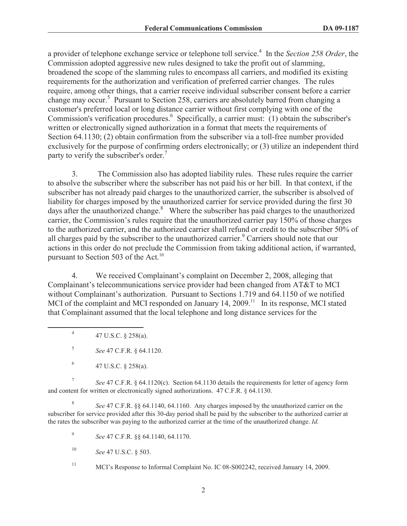a provider of telephone exchange service or telephone toll service.<sup>4</sup> In the *Section 258 Order*, the Commission adopted aggressive new rules designed to take the profit out of slamming, broadened the scope of the slamming rules to encompass all carriers, and modified its existing requirements for the authorization and verification of preferred carrier changes. The rules require, among other things, that a carrier receive individual subscriber consent before a carrier change may occur.<sup>5</sup> Pursuant to Section 258, carriers are absolutely barred from changing a customer's preferred local or long distance carrier without first complying with one of the Commission's verification procedures.<sup>6</sup> Specifically, a carrier must: (1) obtain the subscriber's written or electronically signed authorization in a format that meets the requirements of Section 64.1130; (2) obtain confirmation from the subscriber via a toll-free number provided exclusively for the purpose of confirming orders electronically; or (3) utilize an independent third party to verify the subscriber's order.<sup>7</sup>

3. The Commission also has adopted liability rules. These rules require the carrier to absolve the subscriber where the subscriber has not paid his or her bill. In that context, if the subscriber has not already paid charges to the unauthorized carrier, the subscriber is absolved of liability for charges imposed by the unauthorized carrier for service provided during the first 30 days after the unauthorized change.<sup>8</sup> Where the subscriber has paid charges to the unauthorized carrier, the Commission's rules require that the unauthorized carrier pay 150% of those charges to the authorized carrier, and the authorized carrier shall refund or credit to the subscriber 50% of all charges paid by the subscriber to the unauthorized carrier.<sup>9</sup> Carriers should note that our actions in this order do not preclude the Commission from taking additional action, if warranted, pursuant to Section 503 of the Act.<sup>10</sup>

4. We received Complainant's complaint on December 2, 2008, alleging that Complainant's telecommunications service provider had been changed from AT&T to MCI without Complainant's authorization. Pursuant to Sections 1.719 and 64.1150 of we notified MCI of the complaint and MCI responded on January 14, 2009.<sup>11</sup> In its response, MCI stated that Complainant assumed that the local telephone and long distance services for the

4 47 U.S.C. § 258(a).

5 *See* 47 C.F.R. § 64.1120.

6 47 U.S.C. § 258(a).

7 *See* 47 C.F.R. § 64.1120(c). Section 64.1130 details the requirements for letter of agency form and content for written or electronically signed authorizations. 47 C.F.R. § 64.1130.

8 *See* 47 C.F.R. §§ 64.1140, 64.1160. Any charges imposed by the unauthorized carrier on the subscriber for service provided after this 30-day period shall be paid by the subscriber to the authorized carrier at the rates the subscriber was paying to the authorized carrier at the time of the unauthorized change. *Id.*

9 *See* 47 C.F.R. §§ 64.1140, 64.1170.

<sup>10</sup> *See* 47 U.S.C. § 503.

<sup>11</sup> MCI's Response to Informal Complaint No. IC 08-S002242, received January 14, 2009.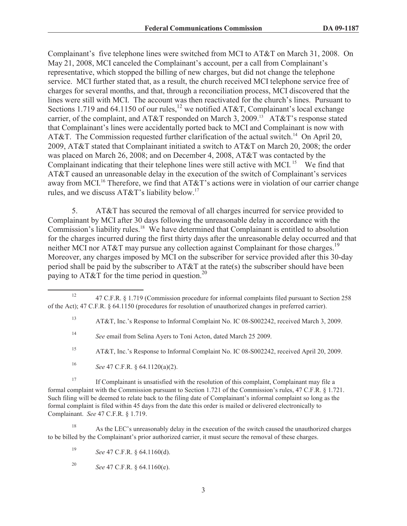Complainant's five telephone lines were switched from MCI to AT&T on March 31, 2008. On May 21, 2008, MCI canceled the Complainant's account, per a call from Complainant's representative, which stopped the billing of new charges, but did not change the telephone service. MCI further stated that, as a result, the church received MCI telephone service free of charges for several months, and that, through a reconciliation process, MCI discovered that the lines were still with MCI. The account was then reactivated for the church's lines. Pursuant to Sections 1.719 and 64.1150 of our rules,  $^{12}$  we notified AT&T, Complainant's local exchange carrier, of the complaint, and AT&T responded on March 3, 2009.<sup>13</sup> AT&T's response stated that Complainant's lines were accidentally ported back to MCI and Complainant is now with AT&T. The Commission requested further clarification of the actual switch.<sup>14</sup> On April 20, 2009, AT&T stated that Complainant initiated a switch to AT&T on March 20, 2008; the order was placed on March 26, 2008; and on December 4, 2008, AT&T was contacted by the Complainant indicating that their telephone lines were still active with MCI.<sup>15</sup> We find that AT&T caused an unreasonable delay in the execution of the switch of Complainant's services away from MCI.<sup>16</sup> Therefore, we find that AT&T's actions were in violation of our carrier change rules, and we discuss AT&T's liability below.<sup>17</sup>

5. AT&T has secured the removal of all charges incurred for service provided to Complainant by MCI after 30 days following the unreasonable delay in accordance with the Commission's liability rules.<sup>18</sup> We have determined that Complainant is entitled to absolution for the charges incurred during the first thirty days after the unreasonable delay occurred and that neither MCI nor  $AT&T$  may pursue any collection against Complainant for those charges.<sup>19</sup> Moreover, any charges imposed by MCI on the subscriber for service provided after this 30-day period shall be paid by the subscriber to AT&T at the rate(s) the subscriber should have been paying to AT&T for the time period in question.<sup>20</sup>

<sup>17</sup> If Complainant is unsatisfied with the resolution of this complaint, Complainant may file a formal complaint with the Commission pursuant to Section 1.721 of the Commission's rules, 47 C.F.R. § 1.721. Such filing will be deemed to relate back to the filing date of Complainant's informal complaint so long as the formal complaint is filed within 45 days from the date this order is mailed or delivered electronically to Complainant. *See* 47 C.F.R. § 1.719.

<sup>18</sup> As the LEC's unreasonably delay in the execution of the switch caused the unauthorized charges to be billed by the Complainant's prior authorized carrier, it must secure the removal of these charges.

<sup>&</sup>lt;sup>12</sup> 47 C.F.R. § 1.719 (Commission procedure for informal complaints filed pursuant to Section 258 of the Act); 47 C.F.R. § 64.1150 (procedures for resolution of unauthorized changes in preferred carrier).

<sup>13</sup> AT&T, Inc.'s Response to Informal Complaint No. IC 08-S002242, received March 3, 2009.

<sup>14</sup> *See* email from Selina Ayers to Toni Acton, dated March 25 2009.

<sup>&</sup>lt;sup>15</sup> AT&T, Inc.'s Response to Informal Complaint No. IC 08-S002242, received April 20, 2009.

<sup>16</sup> *See* 47 C.F.R. § 64.1120(a)(2).

<sup>19</sup> *See* 47 C.F.R. § 64.1160(d).

<sup>20</sup> *See* 47 C.F.R. § 64.1160(e).